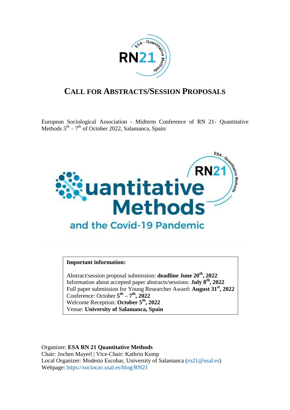

# **CALL FOR ABSTRACTS/SESSION PROPOSALS**

European Sociological Association - Midterm Conference of RN 21- Quantitative Methods  $5<sup>th</sup> - 7<sup>th</sup>$  of October 2022, Salamanca, Spain:



### **Important information:**

Abstract/session proposal submission: **deadline June 20th, 2022** Information about accepted paper abstracts/sessions: **July 8th , 2022** Full paper submission for Young Researcher Award: **August 31st, 2022** Conference: October  $5^{\text{th}} - 7^{\text{th}}$ , 2022 Welcome Reception: **October 5 th, 2022** Venue: **University of Salamanca, Spain**

Organizer: **ESA RN 21 Quantitative Methods**  Chair: Jochen Mayerl | Vice-Chair: Kathrin Komp Local Organizer: Modesto Escobar, University of Salamanca [\(rn21@usal.es\)](mailto:rn21@usal.es) Webpage: <https://sociocav.usal.es/blog/RN21>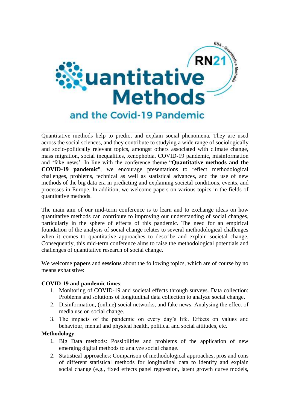

Quantitative methods help to predict and explain social phenomena. They are used across the social sciences, and they contribute to studying a wide range of sociologically and socio-politically relevant topics, amongst others associated with climate change, mass migration, social inequalities, xenophobia, COVID-19 pandemic, misinformation and 'fake news'. In line with the conference theme "**Quantitative methods and the COVID-19 pandemic**", we encourage presentations to reflect methodological challenges, problems, technical as well as statistical advances, and the use of new methods of the big data era in predicting and explaining societal conditions, events, and processes in Europe. In addition, we welcome papers on various topics in the fields of quantitative methods.

The main aim of our mid-term conference is to learn and to exchange ideas on how quantitative methods can contribute to improving our understanding of social changes, particularly in the sphere of effects of this pandemic. The need for an empirical foundation of the analysis of social change relates to several methodological challenges when it comes to quantitative approaches to describe and explain societal change. Consequently, this mid-term conference aims to raise the methodological potentials and challenges of quantitative research of social change.

We welcome **papers** and **sessions** about the following topics, which are of course by no means exhaustive:

### **COVID-19 and pandemic times**:

- 1. Monitoring of COVID-19 and societal effects through surveys. Data collection: Problems and solutions of longitudinal data collection to analyze social change.
- 2. Disinformation, (online) social networks, and fake news. Analysing the effect of media use on social change.
- 3. The impacts of the pandemic on every day's life. Effects on values and behaviour, mental and physical health, political and social attitudes, etc.

### **Methodology**:

- 1. Big Data methods: Possibilities and problems of the application of new emerging digital methods to analyze social change.
- 2. Statistical approaches: Comparison of methodological approaches, pros and cons of different statistical methods for longitudinal data to identify and explain social change (e.g., fixed effects panel regression, latent growth curve models,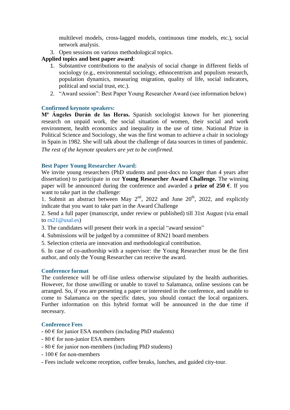multilevel models, cross-lagged models, continuous time models, etc.), social network analysis.

3. Open sessions on various methodological topics.

## **Applied topics and best paper award**:

- 1. Substantive contributions to the analysis of social change in different fields of sociology (e.g., environmental sociology, ethnocentrism and populism research, population dynamics, measuring migration, quality of life, social indicators, political and social trust, etc.).
- 2. "Award session": Best Paper Young Researcher Award (see information below)

## **Confirmed keynote speakers:**

**Mª Ángeles Durán de las Heras.** Spanish sociologist known for her pioneering research on unpaid work, the social situation of women, their social and work environment, health economics and inequality in the use of time. National Prize in Political Science and Sociology, she was the first woman to achieve a chair in sociology in Spain in 1982. She will talk about the challenge of data sources in times of pandemic.

*The rest of the keynote speakers are yet to be confirmed.*

## **Best Paper Young Researcher Award:**

We invite young researchers (PhD students and post-docs no longer than 4 years after dissertation) to participate in our **Young Researcher Award Challenge.** The winning paper will be announced during the conference and awarded a **prize of 250 €**. If you want to take part in the challenge:

1. Submit an abstract between May  $2<sup>nd</sup>$ , 2022 and June  $20<sup>th</sup>$ , 2022, and explicitly indicate that you want to take part in the Award Challenge

2. Send a full paper (manuscript, under review or published) till 31st August (via email to [rn21@usal.es\)](mailto:rn21@usal.es)

- 3. The candidates will present their work in a special "award session"
- 4. Submissions will be judged by a committee of RN21 board members
- 5. Selection criteria are innovation and methodological contribution.

6. In case of co-authorship with a supervisor: the Young Researcher must be the first author, and only the Young Researcher can receive the award.

### **Conference format**

The conference will be off-line unless otherwise stipulated by the health authorities. However, for those unwilling or unable to travel to Salamanca, online sessions can be arranged. So, if you are presenting a paper or interested in the conference, and unable to come to Salamanca on the specific dates, you should contact the local organizers. Further information on this hybrid format will be announced in the due time if necessary.

### **Conference Fees**

- $-60 \text{ }\epsilon$  for junior ESA members (including PhD students)
- $-80 \text{ } \in$  for non-junior ESA members
- $-80 \text{ } \in$  for junior non-members (including PhD students)
- $-100 \text{ }\epsilon$  for non-members
- Fees include welcome reception, coffee breaks, lunches, and guided city-tour.